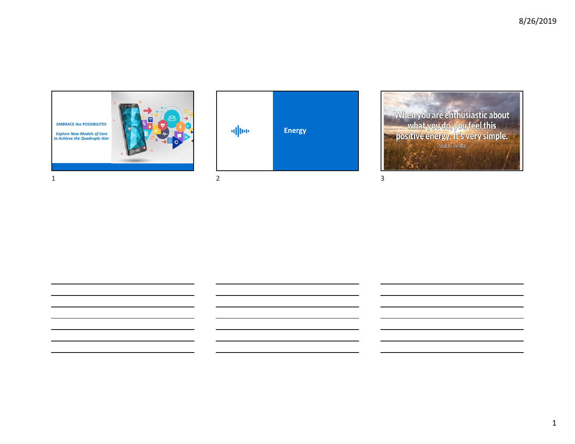

**Energy Energy**

When you are enthusiastic about<br>what you do, you feel this<br>positive energy. It's very simple.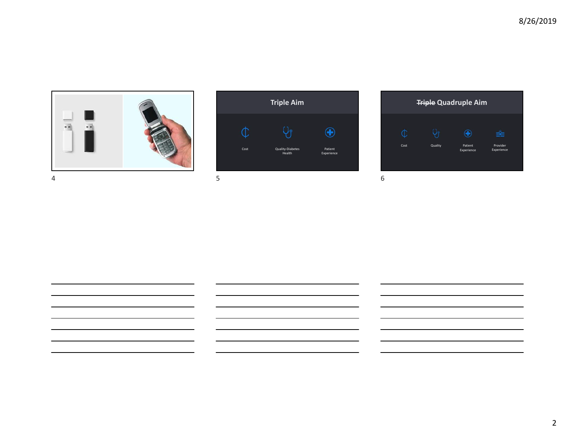



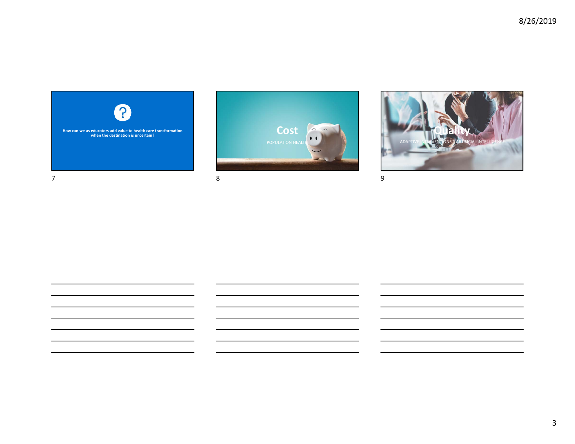





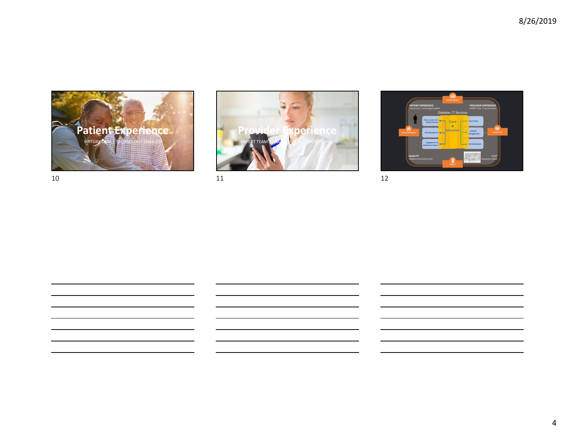